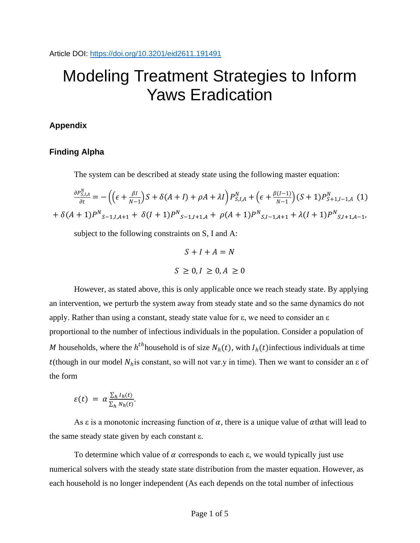# Modeling Treatment Strategies to Inform Yaws Eradication

# **Appendix**

# **Finding Alpha**

The system can be described at steady state using the following master equation:

$$
\frac{\partial P_{S,I,A}^N}{\partial t} = -\left( \left( \epsilon + \frac{\beta I}{N-1} \right) S + \delta (A+I) + \rho A + \lambda I \right) P_{S,I,A}^N + \left( \epsilon + \frac{\beta (I-1)}{N-1} \right) (S+1) P_{S+1,I-1,A}^N \tag{1}
$$

$$
+ \delta (A+1) P_{S-1,I,A+1}^N + \delta (I+1) P_{S-1,I+1,A}^N + \rho (A+1) P_{S,I-1,A+1}^N + \lambda (I+1) P_{S,I+1,A-1}^N,
$$

subject to the following constraints on S, I and A:

$$
S + I + A = N
$$
  

$$
S \ge 0, I \ge 0, A \ge 0
$$

However, as stated above, this is only applicable once we reach steady state. By applying an intervention, we perturb the system away from steady state and so the same dynamics do not apply. Rather than using a constant, steady state value for  $\varepsilon$ , we need to consider an  $\varepsilon$ proportional to the number of infectious individuals in the population. Consider a population of M households, where the  $h^{th}$  household is of size  $N_h(t)$ , with  $I_h(t)$  infectious individuals at time t(though in our model  $N_h$  is constant, so will not var.y in time). Then we want to consider an  $\varepsilon$  of the form

$$
\varepsilon(t) = \alpha \frac{\sum_h I_h(t)}{\sum_h N_h(t)}.
$$

As  $\varepsilon$  is a monotonic increasing function of  $\alpha$ , there is a unique value of  $\alpha$ that will lead to the same steady state given by each constant ε.

To determine which value of  $\alpha$  corresponds to each  $\varepsilon$ , we would typically just use numerical solvers with the steady state state distribution from the master equation. However, as each household is no longer independent (As each depends on the total number of infectious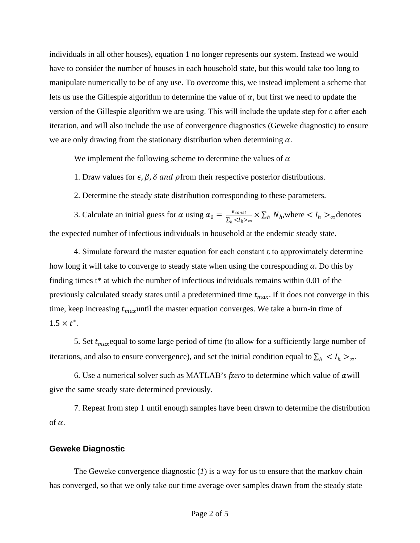individuals in all other houses), equation 1 no longer represents our system. Instead we would have to consider the number of houses in each household state, but this would take too long to manipulate numerically to be of any use. To overcome this, we instead implement a scheme that lets us use the Gillespie algorithm to determine the value of  $\alpha$ , but first we need to update the version of the Gillespie algorithm we are using. This will include the update step for ε after each iteration, and will also include the use of convergence diagnostics (Geweke diagnostic) to ensure we are only drawing from the stationary distribution when determining  $\alpha$ .

We implement the following scheme to determine the values of  $\alpha$ 

1. Draw values for  $\epsilon$ ,  $\beta$ ,  $\delta$  and  $\rho$  from their respective posterior distributions.

2. Determine the steady state distribution corresponding to these parameters.

3. Calculate an initial guess for  $\alpha$  using  $\alpha_0 = \frac{\epsilon_{const}}{\sum_h < l_h > \infty} \times \sum_h N_h$ , where  $\lt l_h > \infty$  denotes the expected number of infectious individuals in household at the endemic steady state.

4. Simulate forward the master equation for each constant ε to approximately determine how long it will take to converge to steady state when using the corresponding  $\alpha$ . Do this by finding times t\* at which the number of infectious individuals remains within 0.01 of the previously calculated steady states until a predetermined time  $t_{max}$ . If it does not converge in this time, keep increasing  $t_{max}$ until the master equation converges. We take a burn-in time of  $1.5 \times t^*$ .

5. Set  $t_{max}$  equal to some large period of time (to allow for a sufficiently large number of iterations, and also to ensure convergence), and set the initial condition equal to  $\sum_h < l_h >_{\infty}$ .

6. Use a numerical solver such as MATLAB's  $fzero$  to determine which value of  $\alpha$  will give the same steady state determined previously.

7. Repeat from step 1 until enough samples have been drawn to determine the distribution of  $\alpha$ .

## **Geweke Diagnostic**

The Geweke convergence diagnostic (*1*) is a way for us to ensure that the markov chain has converged, so that we only take our time average over samples drawn from the steady state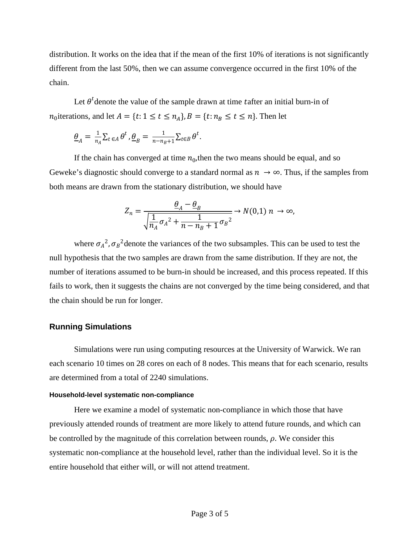distribution. It works on the idea that if the mean of the first 10% of iterations is not significantly different from the last 50%, then we can assume convergence occurred in the first 10% of the chain.

Let  $\theta^t$  denote the value of the sample drawn at time tafter an initial burn-in of  $n_0$  iterations, and let  $A = \{t : 1 \le t \le n_A\}$ ,  $B = \{t : n_B \le t \le n\}$ . Then let

$$
\underline{\theta}_A = \frac{1}{n_A} \sum_{t \in A} \theta^t, \underline{\theta}_B = \frac{1}{n - n_B + 1} \sum_{t \in B} \theta^t.
$$

If the chain has converged at time  $n_0$ , then the two means should be equal, and so Geweke's diagnostic should converge to a standard normal as  $n \to \infty$ . Thus, if the samples from both means are drawn from the stationary distribution, we should have

$$
Z_n = \frac{\underline{\theta}_A - \underline{\theta}_B}{\sqrt{\frac{1}{n_A} \sigma_A^2 + \frac{1}{n - n_B + 1} \sigma_B^2}} \rightarrow N(0,1) n \rightarrow \infty,
$$

where  $\sigma_A^2$ ,  $\sigma_B^2$  denote the variances of the two subsamples. This can be used to test the null hypothesis that the two samples are drawn from the same distribution. If they are not, the number of iterations assumed to be burn-in should be increased, and this process repeated. If this fails to work, then it suggests the chains are not converged by the time being considered, and that the chain should be run for longer.

### **Running Simulations**

Simulations were run using computing resources at the University of Warwick. We ran each scenario 10 times on 28 cores on each of 8 nodes. This means that for each scenario, results are determined from a total of 2240 simulations.

#### **Household-level systematic non-compliance**

Here we examine a model of systematic non-compliance in which those that have previously attended rounds of treatment are more likely to attend future rounds, and which can be controlled by the magnitude of this correlation between rounds,  $\rho$ . We consider this systematic non-compliance at the household level, rather than the individual level. So it is the entire household that either will, or will not attend treatment.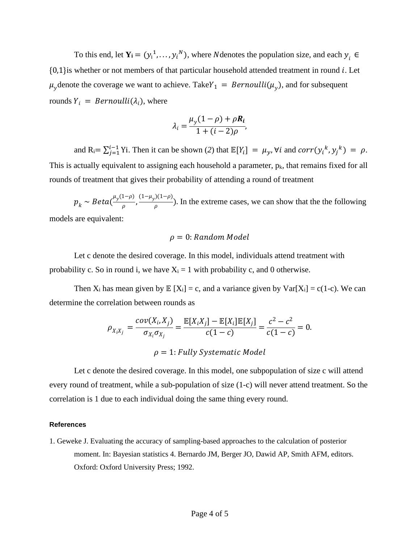To this end, let  $Y_i = (y_i^1, \dots, y_i^N)$ , where *N* denotes the population size, and each  $y_i \in$  ${0,1}$ is whether or not members of that particular household attended treatment in round i. Let  $\mu_y$  denote the coverage we want to achieve. Take  $Y_1 = Bernoulli(\mu_y)$ , and for subsequent rounds  $Y_i = Bernoulli(\lambda_i)$ , where

$$
\lambda_i = \frac{\mu_y (1 - \rho) + \rho R_i}{1 + (i - 2)\rho},
$$

and  $R_i = \sum_{j=1}^{i-1} Y_i$ . Then it can be shown (2) that  $\mathbb{E}[Y_i] = \mu_y$ ,  $\forall i$  and  $corr(y_i^k, y_j^k) = \rho$ . This is actually equivalent to assigning each household a parameter,  $p_k$ , that remains fixed for all rounds of treatment that gives their probability of attending a round of treatment

 $p_k \sim Beta(\frac{\mu_y(1-\rho)}{\rho}, \frac{(1-\mu_y)(1-\rho)}{\rho})$ . In the extreme cases, we can show that the the following models are equivalent:

## $\rho = 0$ : Random Model

Let c denote the desired coverage. In this model, individuals attend treatment with probability c. So in round i, we have  $X_i = 1$  with probability c, and 0 otherwise.

Then  $X_i$  has mean given by  $E[X_i] = c$ , and a variance given by  $Var[X_i] = c(1-c)$ . We can determine the correlation between rounds as

$$
\rho_{X_i X_j} = \frac{cov(X_i, X_j)}{\sigma_{X_i} \sigma_{X_j}} = \frac{\mathbb{E}[X_i X_j] - \mathbb{E}[X_i] \mathbb{E}[X_j]}{c(1-c)} = \frac{c^2 - c^2}{c(1-c)} = 0.
$$
  

$$
\rho = 1: \text{Fully Systematic Model}
$$

Let c denote the desired coverage. In this model, one subpopulation of size c will attend every round of treatment, while a sub-population of size (1-c) will never attend treatment. So the correlation is 1 due to each individual doing the same thing every round.

#### **References**

1. Geweke J. Evaluating the accuracy of sampling-based approaches to the calculation of posterior moment. In: Bayesian statistics 4. Bernardo JM, Berger JO, Dawid AP, Smith AFM, editors. Oxford: Oxford University Press; 1992.